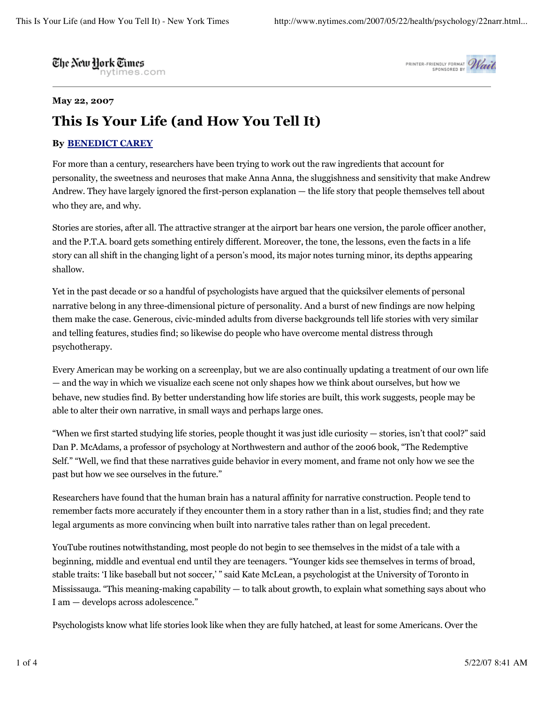The New Hork Times nytimes.com



## **May 22, 2007**

## **This Is Your Life (and How You Tell It)**

## **By BENEDICT CAREY**

For more than a century, researchers have been trying to work out the raw ingredients that account for personality, the sweetness and neuroses that make Anna Anna, the sluggishness and sensitivity that make Andrew Andrew. They have largely ignored the first-person explanation — the life story that people themselves tell about who they are, and why.

Stories are stories, after all. The attractive stranger at the airport bar hears one version, the parole officer another, and the P.T.A. board gets something entirely different. Moreover, the tone, the lessons, even the facts in a life story can all shift in the changing light of a person's mood, its major notes turning minor, its depths appearing shallow.

Yet in the past decade or so a handful of psychologists have argued that the quicksilver elements of personal narrative belong in any three-dimensional picture of personality. And a burst of new findings are now helping them make the case. Generous, civic-minded adults from diverse backgrounds tell life stories with very similar and telling features, studies find; so likewise do people who have overcome mental distress through psychotherapy.

Every American may be working on a screenplay, but we are also continually updating a treatment of our own life — and the way in which we visualize each scene not only shapes how we think about ourselves, but how we behave, new studies find. By better understanding how life stories are built, this work suggests, people may be able to alter their own narrative, in small ways and perhaps large ones.

"When we first started studying life stories, people thought it was just idle curiosity — stories, isn't that cool?" said Dan P. McAdams, a professor of psychology at Northwestern and author of the 2006 book, "The Redemptive Self." "Well, we find that these narratives guide behavior in every moment, and frame not only how we see the past but how we see ourselves in the future."

Researchers have found that the human brain has a natural affinity for narrative construction. People tend to remember facts more accurately if they encounter them in a story rather than in a list, studies find; and they rate legal arguments as more convincing when built into narrative tales rather than on legal precedent.

YouTube routines notwithstanding, most people do not begin to see themselves in the midst of a tale with a beginning, middle and eventual end until they are teenagers. "Younger kids see themselves in terms of broad, stable traits: 'I like baseball but not soccer,' " said Kate McLean, a psychologist at the University of Toronto in Mississauga. "This meaning-making capability — to talk about growth, to explain what something says about who I am — develops across adolescence."

Psychologists know what life stories look like when they are fully hatched, at least for some Americans. Over the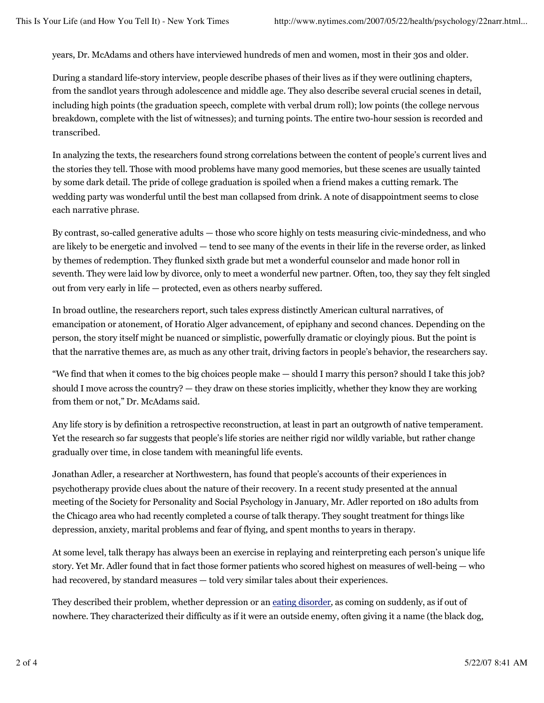years, Dr. McAdams and others have interviewed hundreds of men and women, most in their 30s and older.

During a standard life-story interview, people describe phases of their lives as if they were outlining chapters, from the sandlot years through adolescence and middle age. They also describe several crucial scenes in detail, including high points (the graduation speech, complete with verbal drum roll); low points (the college nervous breakdown, complete with the list of witnesses); and turning points. The entire two-hour session is recorded and transcribed.

In analyzing the texts, the researchers found strong correlations between the content of people's current lives and the stories they tell. Those with mood problems have many good memories, but these scenes are usually tainted by some dark detail. The pride of college graduation is spoiled when a friend makes a cutting remark. The wedding party was wonderful until the best man collapsed from drink. A note of disappointment seems to close each narrative phrase.

By contrast, so-called generative adults — those who score highly on tests measuring civic-mindedness, and who are likely to be energetic and involved — tend to see many of the events in their life in the reverse order, as linked by themes of redemption. They flunked sixth grade but met a wonderful counselor and made honor roll in seventh. They were laid low by divorce, only to meet a wonderful new partner. Often, too, they say they felt singled out from very early in life — protected, even as others nearby suffered.

In broad outline, the researchers report, such tales express distinctly American cultural narratives, of emancipation or atonement, of Horatio Alger advancement, of epiphany and second chances. Depending on the person, the story itself might be nuanced or simplistic, powerfully dramatic or cloyingly pious. But the point is that the narrative themes are, as much as any other trait, driving factors in people's behavior, the researchers say.

"We find that when it comes to the big choices people make — should I marry this person? should I take this job? should I move across the country? — they draw on these stories implicitly, whether they know they are working from them or not," Dr. McAdams said.

Any life story is by definition a retrospective reconstruction, at least in part an outgrowth of native temperament. Yet the research so far suggests that people's life stories are neither rigid nor wildly variable, but rather change gradually over time, in close tandem with meaningful life events.

Jonathan Adler, a researcher at Northwestern, has found that people's accounts of their experiences in psychotherapy provide clues about the nature of their recovery. In a recent study presented at the annual meeting of the Society for Personality and Social Psychology in January, Mr. Adler reported on 180 adults from the Chicago area who had recently completed a course of talk therapy. They sought treatment for things like depression, anxiety, marital problems and fear of flying, and spent months to years in therapy.

At some level, talk therapy has always been an exercise in replaying and reinterpreting each person's unique life story. Yet Mr. Adler found that in fact those former patients who scored highest on measures of well-being — who had recovered, by standard measures — told very similar tales about their experiences.

They described their problem, whether depression or an eating disorder, as coming on suddenly, as if out of nowhere. They characterized their difficulty as if it were an outside enemy, often giving it a name (the black dog,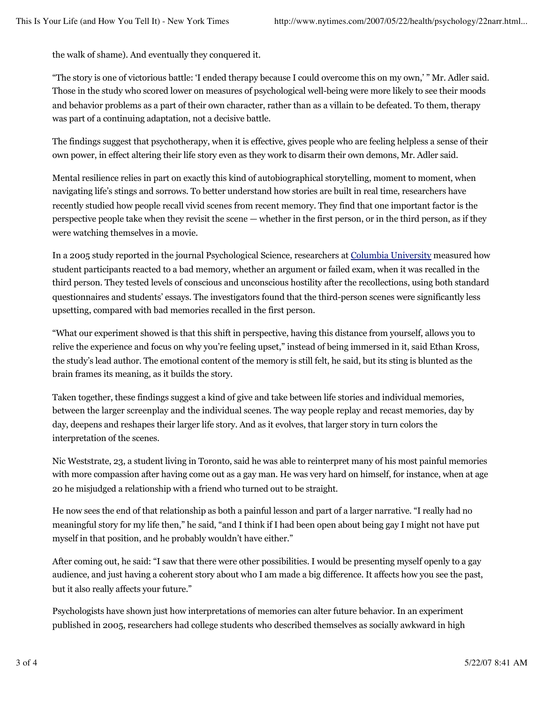the walk of shame). And eventually they conquered it.

"The story is one of victorious battle: 'I ended therapy because I could overcome this on my own,' " Mr. Adler said. Those in the study who scored lower on measures of psychological well-being were more likely to see their moods and behavior problems as a part of their own character, rather than as a villain to be defeated. To them, therapy was part of a continuing adaptation, not a decisive battle.

The findings suggest that psychotherapy, when it is effective, gives people who are feeling helpless a sense of their own power, in effect altering their life story even as they work to disarm their own demons, Mr. Adler said.

Mental resilience relies in part on exactly this kind of autobiographical storytelling, moment to moment, when navigating life's stings and sorrows. To better understand how stories are built in real time, researchers have recently studied how people recall vivid scenes from recent memory. They find that one important factor is the perspective people take when they revisit the scene — whether in the first person, or in the third person, as if they were watching themselves in a movie.

In a 2005 study reported in the journal Psychological Science, researchers at Columbia University measured how student participants reacted to a bad memory, whether an argument or failed exam, when it was recalled in the third person. They tested levels of conscious and unconscious hostility after the recollections, using both standard questionnaires and students' essays. The investigators found that the third-person scenes were significantly less upsetting, compared with bad memories recalled in the first person.

"What our experiment showed is that this shift in perspective, having this distance from yourself, allows you to relive the experience and focus on why you're feeling upset," instead of being immersed in it, said Ethan Kross, the study's lead author. The emotional content of the memory is still felt, he said, but its sting is blunted as the brain frames its meaning, as it builds the story.

Taken together, these findings suggest a kind of give and take between life stories and individual memories, between the larger screenplay and the individual scenes. The way people replay and recast memories, day by day, deepens and reshapes their larger life story. And as it evolves, that larger story in turn colors the interpretation of the scenes.

Nic Weststrate, 23, a student living in Toronto, said he was able to reinterpret many of his most painful memories with more compassion after having come out as a gay man. He was very hard on himself, for instance, when at age 20 he misjudged a relationship with a friend who turned out to be straight.

He now sees the end of that relationship as both a painful lesson and part of a larger narrative. "I really had no meaningful story for my life then," he said, "and I think if I had been open about being gay I might not have put myself in that position, and he probably wouldn't have either."

After coming out, he said: "I saw that there were other possibilities. I would be presenting myself openly to a gay audience, and just having a coherent story about who I am made a big difference. It affects how you see the past, but it also really affects your future."

Psychologists have shown just how interpretations of memories can alter future behavior. In an experiment published in 2005, researchers had college students who described themselves as socially awkward in high